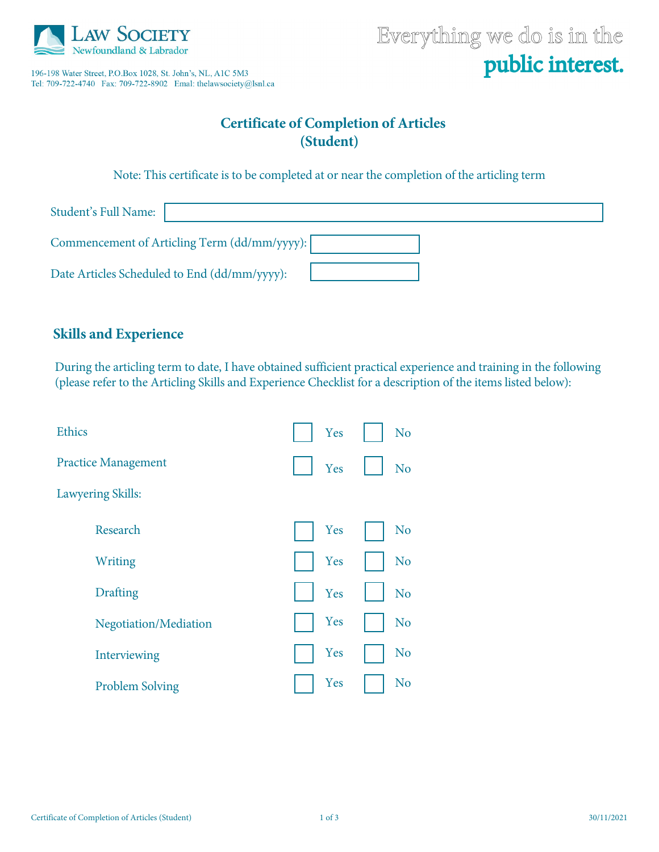

196-198 Water Street, P.O.Box 1028, St. John's, NL, A1C 5M3 Tel: 709-722-4740 Fax: 709-722-8902 Emal: thelawsociety@lsnl.ca

# Everything we do is in the public interest.

## **Certificate of Completion of Articles (Student)**

Note: This certificate is to be completed at or near the completion of the articling term

| Student's Full Name:                         |  |
|----------------------------------------------|--|
| Commencement of Articling Term (dd/mm/yyyy): |  |
| Date Articles Scheduled to End (dd/mm/yyyy): |  |

## **Skills and Experience**

During the articling term to date, I have obtained sufficient practical experience and training in the following (please refer to the Articling Skills and Experience Checklist for a description of the items listed below):

| <b>Ethics</b>              | Yes | N <sub>o</sub> |
|----------------------------|-----|----------------|
| <b>Practice Management</b> | Yes | N <sub>o</sub> |
| <b>Lawyering Skills:</b>   |     |                |
| Research                   | Yes | N <sub>o</sub> |
| Writing                    | Yes | N <sub>o</sub> |
| <b>Drafting</b>            | Yes | N <sub>o</sub> |
| Negotiation/Mediation      | Yes | N <sub>o</sub> |
| Interviewing               | Yes | N <sub>o</sub> |
| <b>Problem Solving</b>     | Yes | N <sub>o</sub> |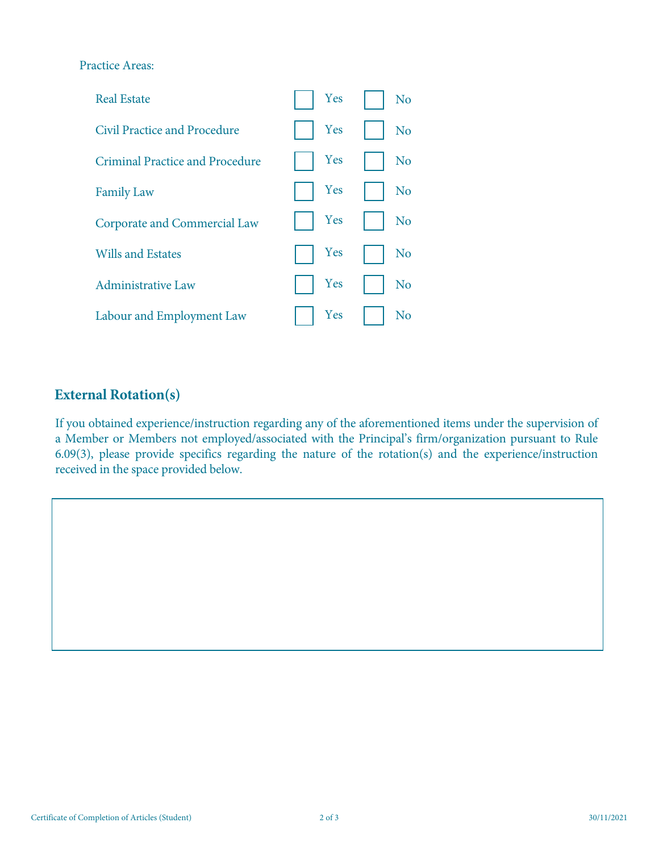#### Practice Areas:



## **External Rotation(s)**

If you obtained experience/instruction regarding any of the aforementioned items under the supervision of a Member or Members not employed/associated with the Principal's firm/organization pursuant to Rule 6.09(3), please provide specifics regarding the nature of the rotation(s) and the experience/instruction received in the space provided below.